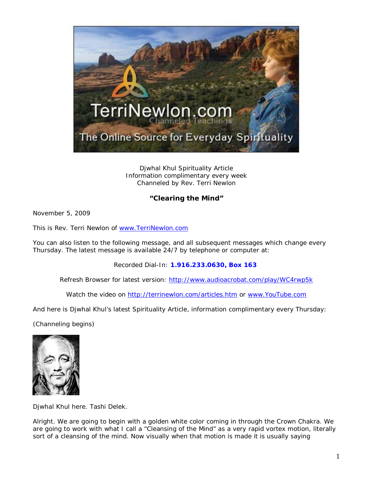

Djwhal Khul Spirituality Article Information complimentary every week Channeled by Rev. Terri Newlon

## **"Clearing the Mind"**

November 5, 2009

This is Rev. Terri Newlon of [www.TerriNewlon.com](http://www.terrinewlon.com/)

You can also listen to the following message, and all subsequent messages which change every Thursday. The latest message is available 24/7 by telephone or computer at:

Recorded Dial-In: **1.916.233.0630, Box 163**

Refresh Browser for latest version: <http://www.audioacrobat.com/play/WC4rwp5k>

Watch the video on<http://terrinewlon.com/articles.htm> or [www.YouTube.com](http://www.youtube.com/)

And here is Djwhal Khul's latest Spirituality Article, information complimentary every Thursday:

(Channeling begins)



Djwhal Khul here. Tashi Delek.

Alright. We are going to begin with a golden white color coming in through the Crown Chakra. We are going to work with what I call a "Cleansing of the Mind" as a very rapid vortex motion, literally sort of a cleansing of the mind. Now visually when that motion is made it is usually saying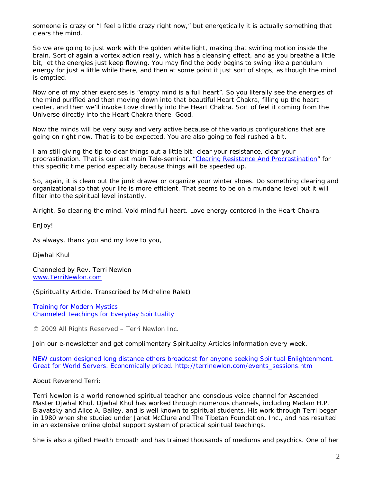someone is crazy or "I feel a little crazy right now," but energetically it is actually something that clears the mind.

So we are going to just work with the golden white light, making that swirling motion inside the brain. Sort of again a vortex action really, which has a cleansing effect, and as you breathe a little bit, let the energies just keep flowing. You may find the body begins to swing like a pendulum energy for just a little while there, and then at some point it just sort of stops, as though the mind is emptied.

Now one of my other exercises is "empty mind is a full heart". So you literally see the energies of the mind purified and then moving down into that beautiful Heart Chakra, filling up the heart center, and then we'll invoke Love directly into the Heart Chakra. Sort of feel it coming from the Universe directly into the Heart Chakra there. Good.

Now the minds will be very busy and very active because of the various configurations that are going on right now. That is to be expected. You are also going to feel rushed a bit.

I am still giving the tip to clear things out a little bit: clear your resistance, clear your procrastination. That is our last main Tele-seminar, ["Clearing Resistance And Procrastination"](http://www.terrinewlon.com/audio_downloads.htm#clearing) for this specific time period especially because things will be speeded up.

So, again, it is clean out the junk drawer or organize your winter shoes. Do something clearing and organizational so that your life is more efficient. That seems to be on a mundane level but it will filter into the spiritual level instantly.

Alright. So clearing the mind. Void mind full heart. Love energy centered in the Heart Chakra.

EnJoy!

As always, thank you and my love to you,

Djwhal Khul

Channeled by Rev. Terri Newlon [www.TerriNewlon.com](http://www.terrinewlon.com/)

(Spirituality Article, Transcribed by Micheline Ralet)

Training for Modern Mystics [Channeled Teachings for Everyday Spirituality](http://www.terrinewlon.com/)

© 2009 All Rights Reserved – Terri Newlon Inc.

Join our e-newsletter and get complimentary Spirituality Articles information every week.

NEW custom designed long distance ethers broadcast for anyone seeking Spiritual Enlightenment. Great for World Servers. Economically priced. [http://terrinewlon.com/events\\_sessions.htm](http://terrinewlon.com/events_sessions.htm)

About Reverend Terri:

Terri Newlon is a world renowned spiritual teacher and conscious voice channel for Ascended Master Djwhal Khul. Djwhal Khul has worked through numerous channels, including Madam H.P. Blavatsky and Alice A. Bailey, and is well known to spiritual students. His work through Terri began in 1980 when she studied under Janet McClure and The Tibetan Foundation, Inc., and has resulted in an extensive online global support system of practical spiritual teachings.

She is also a gifted Health Empath and has trained thousands of mediums and psychics. One of her